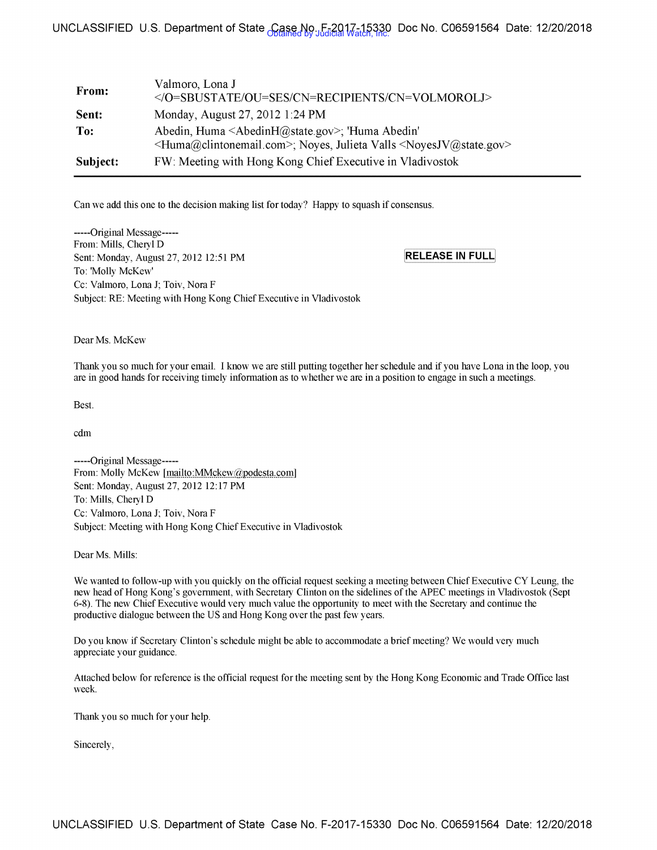# Obtained by Judicial Watch, Inc. UNCLASSIFIED U.S. Department of State Case No. F-2017-15330 Doc No. C06591564 Date: 12/20/2018

| From:    | Valmoro, Lona J<br>                                                                                                                                                                   |
|----------|---------------------------------------------------------------------------------------------------------------------------------------------------------------------------------------|
| Sent:    | Monday, August 27, 2012 1:24 PM                                                                                                                                                       |
| To:      | Abedin, Huma <abedinh@state.gov>; 'Huma Abedin'<br/><huma@clintonemail.com>; Noyes, Julieta Valls <noyesjv@state.gov></noyesjv@state.gov></huma@clintonemail.com></abedinh@state.gov> |
| Subject: | FW: Meeting with Hong Kong Chief Executive in Vladivostok                                                                                                                             |

Can we add this one to the decision making list for today? Happy to squash if consensus.

-----Original Message----- From: Mills, Cheryl D Sent: Monday, August 27, 2012 12:51 PM To: 'Molly McKew' Cc: Valmoro, Lona J; Toiv, Nora F Subject: RE: Meeting with Hong Kong Chief Executive in Vladivostok

**[RELEASE IN FULL]** 

Dear Ms. McKew

Thank you so much for your email. I know we are still putting together her schedule and if you have Lona in the loop, you are in good hands for receiving timely information as to whether we are in a position to engage in such a meetings.

Best.

cdm

-----Original Message----- From: Molly McKew [mailto:MMckew@podesta.com] Sent: Monday, August 27, 2012 12:17 PM To: Mills, Cheryl D Cc: Valmoro, Lona J; Toiv, Nora F Subject: Meeting with Hong Kong Chief Executive in Vladivostok

Dear Ms. Mills:

We wanted to follow-up with you quickly on the official request seeking a meeting between Chief Executive CY Leung, the new head of Hong Kong's government, with Secretary Clinton on the sidelines of the APEC meetings in Vladivostok (Sept 6-8). The new Chief Executive would very much value the opportunity to meet with the Secretary and continue the productive dialogue between the US and Hong Kong over the past few years.

Do you know if Secretary Clinton's schedule might be able to accommodate a brief meeting? We would very much appreciate your guidance.

Attached below for reference is the official request for the meeting sent by the Hong Kong Economic and Trade Office last week.

Thank you so much for your help.

Sincerely,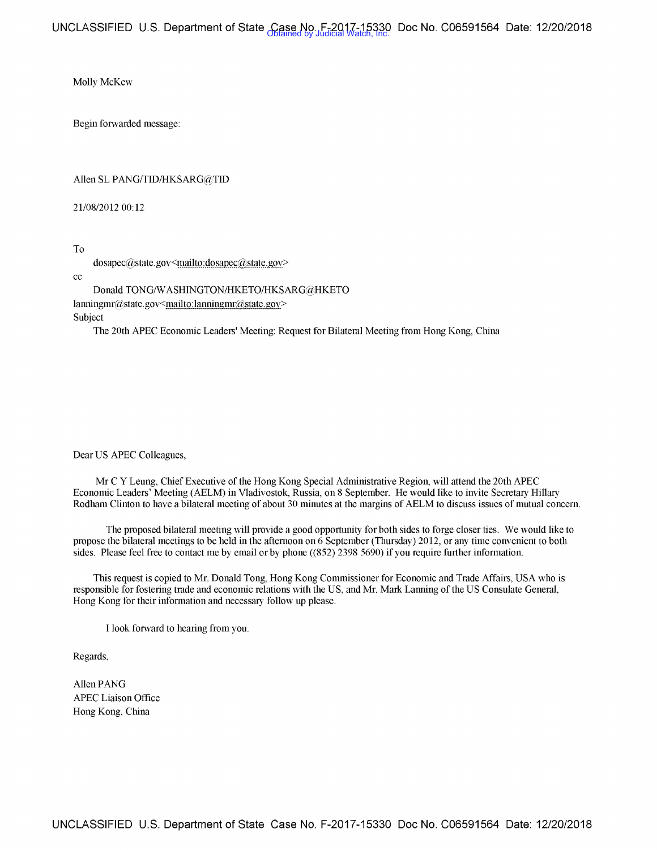Molly McKew

Begin forwarded message:

### Allen SL PANG/TID/HKSARG@TID

21/08/2012 00:12

To

 $d$ osapec $@$ state.gov<mailto: $d$ osapec $@$ state.gov>

cc

Donald TONG/W ASHINGTON/HKETO/HKSARG@HKETO  $lanningmr@state.gov$  <mailto: $lanningmr@state.gov$ Subject

The 20th APEC Economic Leaders' Meeting: Request for Bilateral Meeting from Hong Kong, China

Dear US APEC Colleagues,

Mr CY Leung, Chief Executive of the Hong Kong Special Administrative Region, will attend the 20th APEC Economic Leaders' Meeting (AELM) in Vladivostok, Russia, on 8 September. He would like to invite Secretary Hillary Rodham Clinton to have a bilateral meeting of about 30 minutes at the margins of AELM to discuss issues of mutual concern.

The proposed bilateral meeting will provide a good opportunity for both sides to forge closer ties. We would like to propose the bilateral meetings to be held in the afternoon on 6 September (Thursday) 2012, or any time convenient to both sides. Please feel free to contact me by email or by phone ((852) 2398 5690) if you require further information.

This request is copied to Mr. Donald Tong, Hong Kong Commissioner for Economic and Trade Affairs, USA who is responsible for fostering trade and economic relations with the US, and Mr. Mark Lanning of the US Consulate General, Hong Kong for their information and necessary follow up please.

I look forward to hearing from you.

Regards,

Allen PANG APEC Liaison Office Hong Kong, China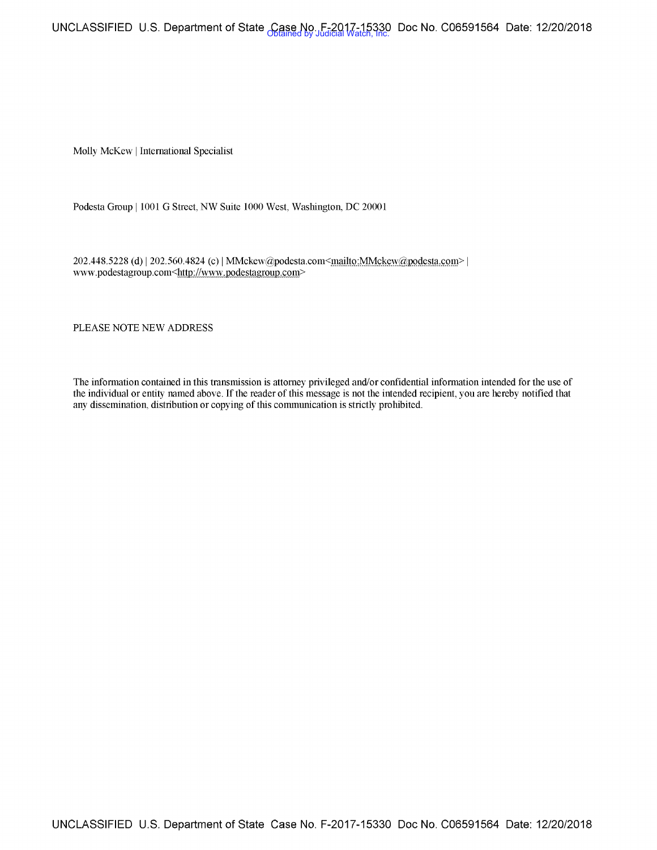UNCLASSIFIED U.S. Department of State Case No. F-2017-15330 Doc No. C06591564 Date: 12/20/2018 <br>Obtained by Judicial Watch, Inc.

Molly McKew I International Specialist

Podesta Group | 1001 G Street, NW Suite 1000 West, Washington, DC 20001

202.448.5228 (d) | 202.560.4824 (c) | MMckew@podesta.com<mailto:MMckew@podesta.com> | www.podestagroup.com<http://www.podestagroup.com>

PLEASE NOTE NEW ADDRESS

The infomiation contained in this transmission is attorney privileged and/or confidential information intended for the use of the individual or entity named above. If the reader of this message is not the intended recipient, you are hereby notified that any dissemination, distribution or copying of this communication is strictly prohibited.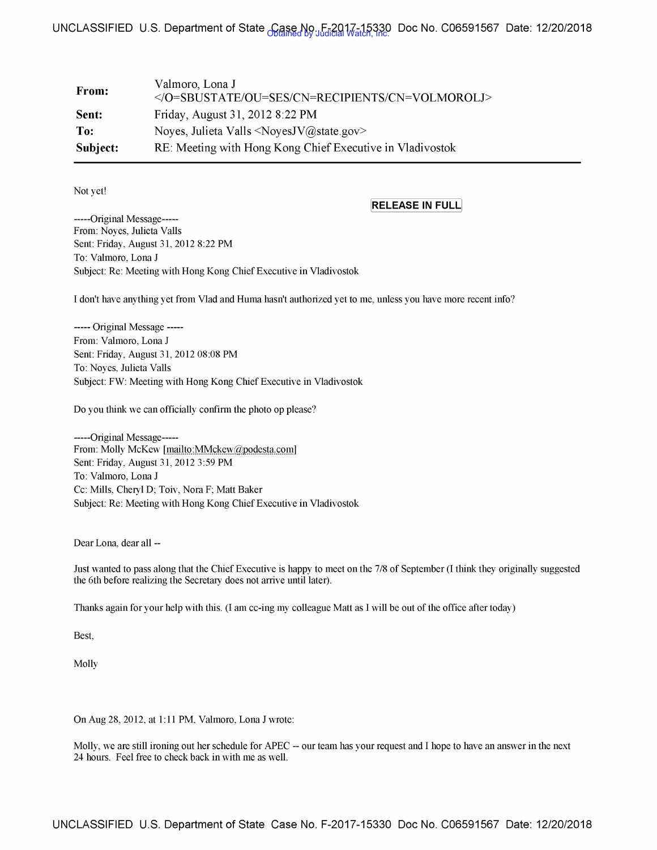## Obtained by Judicial Watch, Inc. UNCLASSIFIED U.S. Department of State Case No. F-2017-15330 Doc No. C06591567 Date: 12/20/2018

| From:    | Valmoro, Lona J<br>                                                                      |
|----------|------------------------------------------------------------------------------------------|
| Sent:    | Friday, August 31, 2012 8:22 PM                                                          |
| To:      | Noves, Julieta Valls $\langle\text{NoyesJV}\rangle$ as $\langle\text{Qstate.gov}\rangle$ |
| Subject: | RE: Meeting with Hong Kong Chief Executive in Vladivostok                                |

Not yet!

### **[RELEASE IN** FULLj

-----Original Message----- From: Noyes, Julieta Valls Sent: Friday, August 31, 2012 8:22 **PM**  To: Valmoro, Lona J Subject: Re: Meeting with Hong Kong Chief Executive in Vladivostok

I don't have anything yet from Vlad and Huma hasn't authorized yet to me, unless you have more recent info?

----- Original Message ----- From: Valmoro, Lona J Sent: Friday, August 31, 2012 08:08 PM To: Noyes, Julieta Valls Subject: FW: Meeting with Hong Kong Chief Executive in Vladivostok

Do you think we can officially confirm the photo op please?

-----Original Message----- From: Molly McKew [mailto:MMckew@podesta.com] Sent: Friday, August 31, 2012 3:59 PM To: Valmoro, Lona J Cc: Mills, Cheryl D; Toiv, Nora F; Matt Baker Subject: Re: Meeting with Hong Kong Chief Executive in Vladivostok

Dear Lona, dear all --

Just wanted to pass along that the Chief Executive is happy to meet on the 7/8 of September (I think they originally suggested the 6th before realizing the Secretary does not arrive until later).

Thanks again for your help with this. (I am cc-ing my colleague Matt as I will be out of the office after today)

Best,

Molly

On Aug 28, 2012, at 1:11 PM, Valmoro, Lona J wrote:

Molly, we are still ironing out her schedule for APEC -- our team has your request and I hope to have an answer in the next 24 hours. Feel free to check back in with me as well.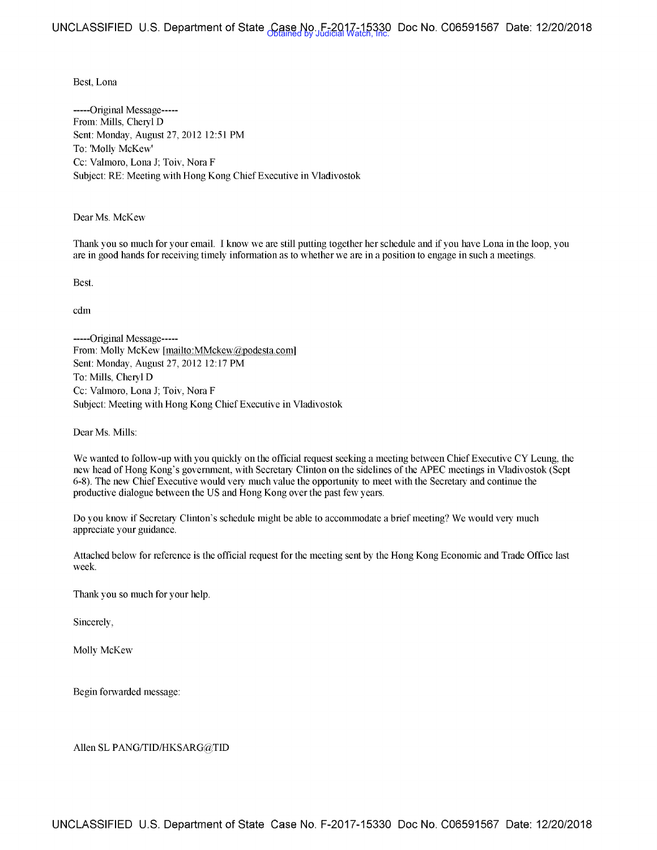### Best, Lona

-----Original Message----- From: Mills, Cheryl D Sent: Monday, August 27, 2012 12:51 PM To: 'Molly McKew' Cc: Valmoro, Lona J; Toiv, Nora F Subject: RE: Meeting with Hong Kong Chief Executive in Vladivostok

Dear Ms. McKew

Thank you so much for your email. I know we are still putting together her schedule and if you have Lona in the loop, you are in good hands for receiving timely information as to whether we are in a position to engage in such a meetings.

Best.

cdm

-----Original Message----- From: Molly McKew [mailto:MMckew@podesta.com] Sent: Monday, August 27, 2012 12:17 PM To: Mills, Cheryl D Cc: Valmoro, Lona J; Toiv, Nora F Subject: Meeting with Hong Kong Chief Executive in Vladivostok

Dear Ms. Mills:

We wanted to follow-up with you quickly on the official request seeking a meeting between Chief Executive CY Leung, the new head of Hong Kong's government, with Secretary Clinton on the sidelines of the APEC meetings in Vladivostok ( Sept 6-8). The new Chief Executive would very much value the opportunity to meet with the Secretary and continue the productive dialogue between the US and Hong Kong over the past few years.

Do you know if Secretary Clinton's schedule might be able to accommodate a brief meeting? We would very much appreciate your guidance.

Attached below for reference is the official request for the meeting sent by the Hong Kong Economic and Trade Office last week.

Thank you so much for your help.

Sincerely,

Molly McKew

Begin forwarded message:

Allen SL PANG/fID/HKSARG@TID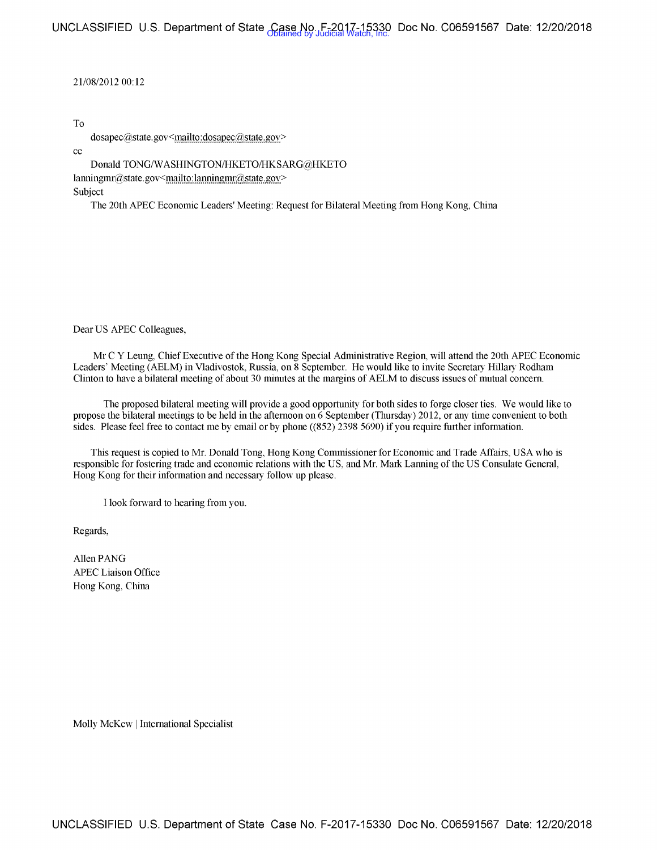21/08/2012 00:12

To

dosapec@state.gov<mailto:dosapec@state.gov>

cc

Donald TONG/W ASHINGTON/HKETO/HKSARG@HKETO  $lanningmr@state.gov~mailto: lanningmr@state.gov~$ Subject

The 20th APEC Economic Leaders' Meeting: Request for Bilateral Meeting from Hong Kong, China

Dear US APEC Colleagues,

Mr C Y Leung, Chief Executive of the Hong Kong Special Administrative Region, will attend the 20th APEC Economic Leaders' Meeting (AELM) in Vladivostok, Russia, on 8 September. He would like to invite Secretary Hillary Rodham Clinton to have a bilateral meeting of about 30 minutes at the margins of AELM to discuss issues of mutual concern.

The proposed bilateral meeting will provide a good opportunity for both sides to forge closer ties. We would like to propose the bilateral meetings to be held in the afternoon on 6 September (Thursday) 2012, or any time convenient to both sides. Please feel free to contact me by email or by phone ((852) 2398 5690) if you require further information.

This request is copied to Mr. Donald Tong, Hong Kong Commissioner for Economic and Trade Affairs, USA who is responsible for fostering trade and economic relations with the US, and Mr. Mark Lanning of the US Consulate General, Hong Kong for their information and necessary follow up please.

I look forward to hearing from you.

Regards,

Allen PANG APEC Liaison Office Hong Kong, China

Molly McKew I International Specialist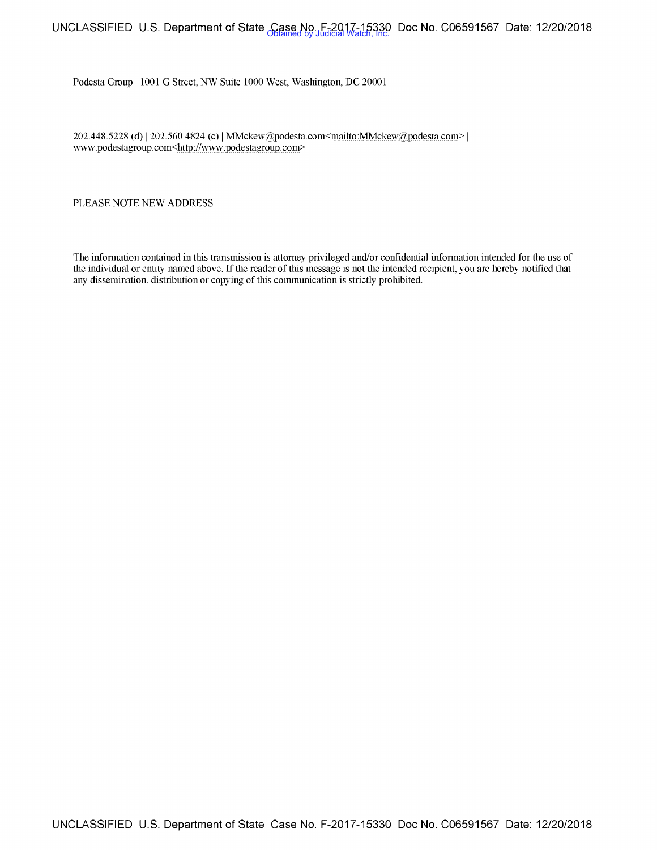# UNCLASSIFIED U.S. Department of State Case No. F-2017-15330 Doc No. C06591567 Date: 12/20/2018 <br>Obtained by Judicial Watch, Inc.

Podesta Group | 1001 G Street, NW Suite 1000 West, Washington, DC 20001

202.448.5228 (d) | 202.560.4824 (c) | MMckew@podesta.com<mailto:MMckew@podesta.com> | www.podestagroup.com<http://www.podestagroup.com>

PLEASE NOTE NEW ADDRESS

The information contained in this transmission is attorney privileged and/or confidential information intended for the use of the individual or entity named above. If the reader of this message is not the intended recipient, you are hereby notified that any dissemination, distribution or copying of this communication is strictly prohibited.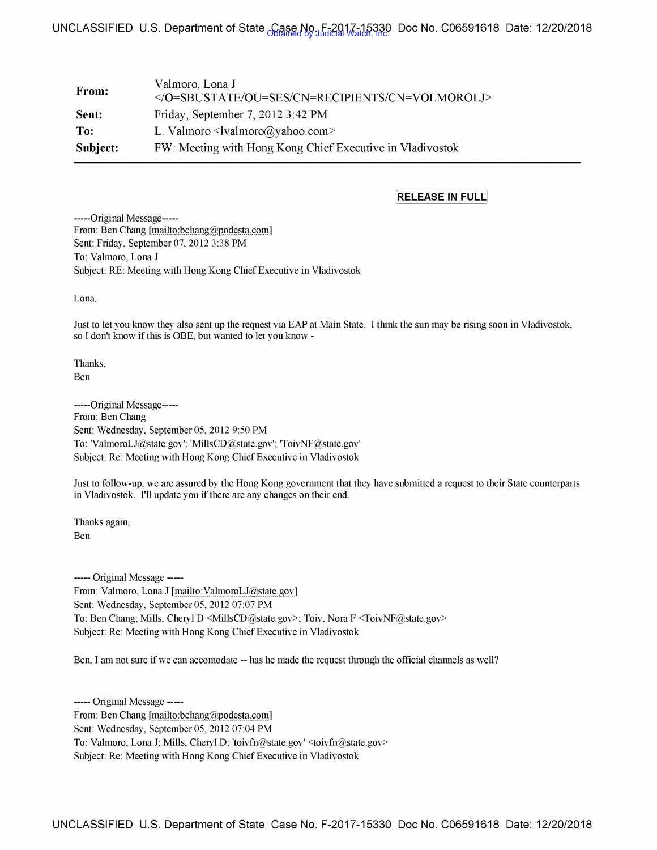# UNCLASSIFIED U.S. Department of State Case No. F-2017-15330 Doc No. C06591618 Date: 12/20/2018 <br>روابط المنطقين للمنطقين للمنطقين للمنطقين للمنطقين للمنطقين للمنطقين للمنطقين للمنطقين للمنطقين للمنطقين للمنط

| From:    | Valmoro, Lona J<br>                                              |
|----------|------------------------------------------------------------------|
| Sent:    | Friday, September 7, 2012 3:42 PM                                |
| To:      | L. Valmoro $\triangleleft$ valmoro $\angle$ (a) vahoo com $\geq$ |
| Subject: | FW: Meeting with Hong Kong Chief Executive in Vladivostok        |

### **[RELEASE IN FULL]**

-----Original Message----- From: Ben Chang [mailto:bchang@podesta.com] Sent: Friday, September 07, 2012 3:38 PM To: Valmoro, Lona J Subject: RE: Meeting with Hong Kong Chief Executive in Vladivostok

Lona,

Just to let you know they also sent up the request via EAP at Main State. I think the sun may be rising soon in Vladivostok, so I don't know if this is OBE, but wanted to let you know -

Thanks, Ben

-----Original Message----- From: Ben Chang Sent: Wednesday, September 05, 2012 9:50 PM To: 'ValmoroLJ@state.gov'; 'MillsCD@state.gov'; 'ToivNF@state.gov' Subject: Re: Meeting with Hong Kong Chief Executive in Vladivostok

Just to follow-up, we are assured by the Hong Kong government that they have submitted a request to their State counterparts in Vladivostok. I'll update you if there are any changes on their end.

Thanks again, Ben

----- Original Message ----- From: Valmoro, Lona J [mailto:ValmoroLJ@state.gov] Sent: Wednesday, September 05, 2012 07:07 PM To: Ben Chang; Mills, Cheryl D <MillsCD@state.gov>; Toiv, Nora F <ToivNF@state.gov> Subject: Re: Meeting with Hong Kong Chief Executive in Vladivostok

Ben, I am not sure if we can accomodate -- has he made the request through the official channels as well?

----- Original Message ----- From: Ben Chang [mailto:bchang@podesta.com] Sent: Wednesday, September 05, 2012 07:04 PM To: Valmoro, Lona J; Mills, Cheryl D; 'toivfn@state.gov' <toivfn@state.gov> Subject: Re: Meeting with Hong Kong Chief Executive in Vladivostok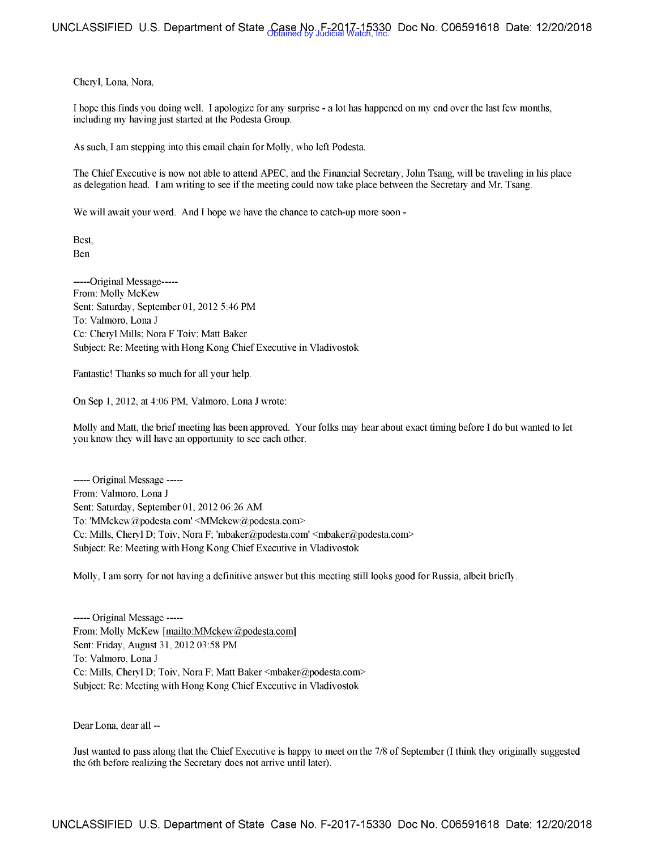Cheryl, Lona, Nora,

I hope this finds you doing well. I apologize for any surprise - a lot has happened on my end over the last few months, including my having just started at the Podesta Group.

As such, I am stepping into this email chain for Molly, who left Podesta.

The Chief Executive is now not able to attend APEC, and the Financial Secretary, John Tsang, will be traveling in his place as delegation head. I am writing to see if the meeting could now take place between the Secretary and Mr. Tsang.

We will await your word. And I hope we have the chance to catch-up more soon -

Best, Ben

-----Original Message----- From: Molly McKew Sent: Saturday, September 01, 2012 5:46 PM To: Valmoro, Lona J Cc: Cheryl Mills; Nora F Toiv; Matt Baker Subject: Re: Meeting with Hong Kong Chief Executive in Vladivostok

Fantastic! Thanks so much for all your help.

On Sep 1, 2012, at 4:06 PM, Valmoro, Lona J wrote:

Molly and Matt, the brief meeting has been approved. Your folks may hear about exact tinring before I do but wanted to let you know they will have an opportunity to see each other.

----- Original Message ----- From: Valmoro, Lona J Sent: Saturday, September 01, 2012 06:26 AM To: 'MMckew@podesta.com' <MMckew@podesta.com> Cc: Mills, Cheryl D; Toiv, Nora F; 'mbaker@podesta.com' <mbaker@podesta.com> Subject: Re: Meeting with Hong Kong Chief Executive in Vladivostok

Molly, I am sorry for not having a defaritive answer but this meeting still looks good for Russia, albeit briefly.

----- Original Message ----- From: Molly McKew [mailto:MMckew@podesta.com] Sent: Friday, August 31, 2012 03:58 PM To: Valmoro, Lona J Cc: Mills, Cheryl D; Toiv, Nora F; Matt Baker <mbaker@podesta.com> Subject: Re: Meeting with Hong Kong Chief Executive in Vladivostok

Dear Lona, dear all --

Just wanted to pass along that the Chief Executive is happy to meet on the 7 /8 of September (I think they originally suggested the 6th before realizing the Secretary does not arrive until later).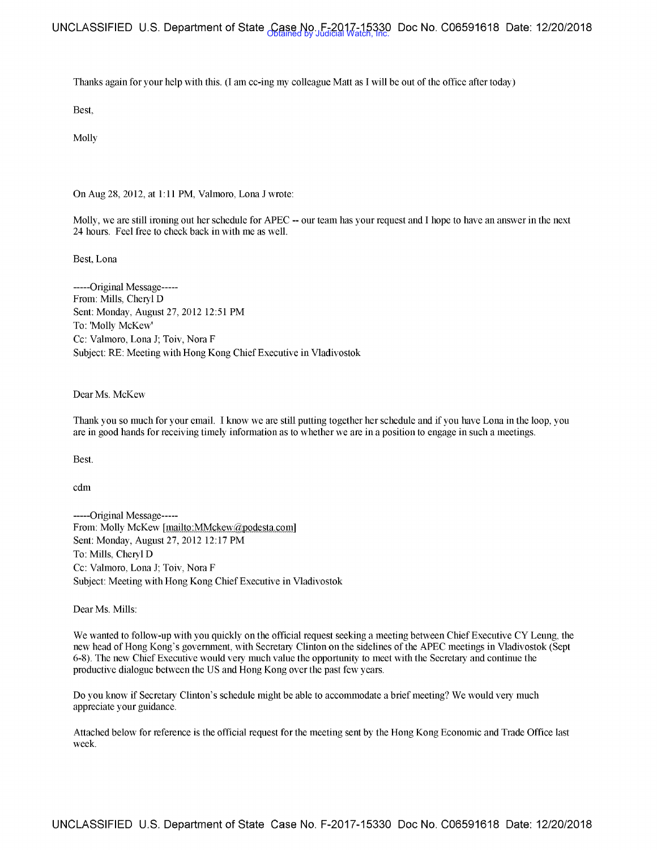UNCLASSIFIED U.S. Department of State Case No. F-2017-15330 Doc No. C06591618 Date: 12/20/2018 <br>Obtained by Judicial Watch, Inc.

Thanks again for your help with this. (I am cc-ing my colleague Matt as I will be out of the office after today)

Best

Molly

On Aug 28, 2012, at 1:11 PM, Valmoro, Lona J wrote:

Molly, we are still ironing out her schedule for APEC -- our team has your request and I hope to have an answer in the next 24 hours. Feel free to check back in with me as well.

Best, Lona

-----Original Message----- From: Mills, Cheryl D Sent: Monday, August 27, 2012 12:51 PM To: 'Molly McKew' Cc: Valmoro, Lona J; Toiv, Nora F Subject: RE: Meeting with Hong Kong Chief Executive in Vladivostok

Dear Ms. McKew

Thank you so much for your email. I know we are still putting together her schedule and if you have Lona in the loop, you are in good hands for receiving timely information as to whether we are in a position to engage in such a meetings.

Best.

cdm

-----Original Message----- From: Molly McKew [mailto:MMckew@podesta.com] Sent: Monday, August 27, 2012 12: 17 PM To: Mills, Cheryl D Cc: Valmoro, Lona J; Toiv, Nora F Subject: Meeting with Hong Kong Chief Executive in Vladivostok

Dear Ms. Mills:

We wanted to follow-up with you quickly on the official request seeking a meeting between Chief Executive CY Leung, the new head of Hong Kong's government, with Secretary Clinton on the sidelines of the APEC meetings in Vladivostok (Sept 6-8). The new Chief Executive would very much value the opportunity to meet with the Secretary and continue the productive dialogue between the US and Hong Kong over the past few years.

Do you know if Secretary Clinton's schedule might be able to accommodate a brief meeting? We would very much appreciate your guidance.

Attached below for reference is the official request for the meeting sent by the Hong Kong Economic and Trade Office last week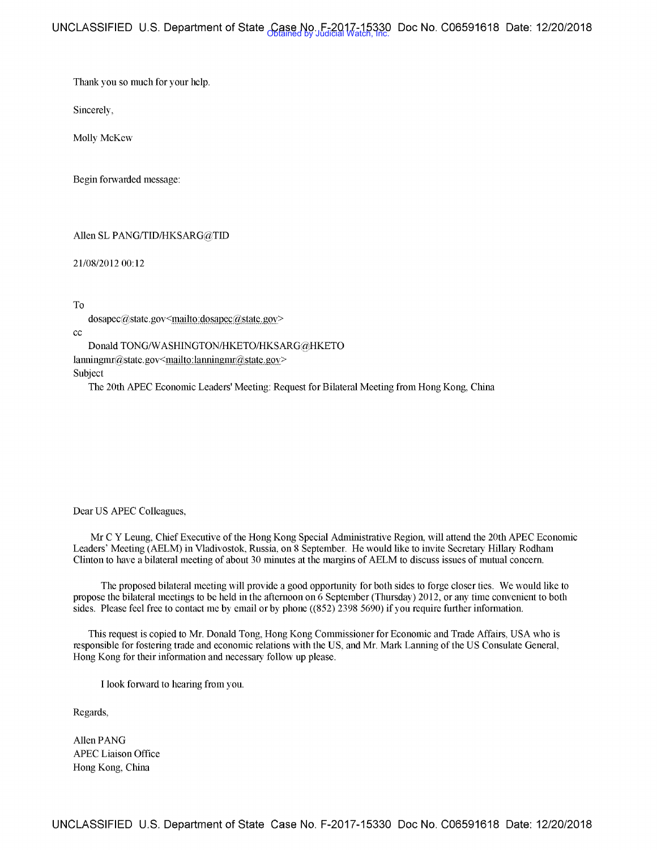Thank you so much for your help.

Sincerely,

Molly McKew

Begin forwarded message:

## Allen SL PANG/TID/HKSARG@TID

21/08/2012 00:12

To

dosapec@state.gov<mailto:dosapec@state.gov>

cc

Donald TONG/W ASHINGTON/HKETO/HKSARG@HKETO  $lanningmr@state.gov$  <mailto: lanningmr@state.gov> Subject

The 20th APEC Economic Leaders' Meeting: Request for Bilateral Meeting from Hong Kong, China

#### Dear US APEC Colleagues,

Mr CY Leung, Chief Executive of the Hong Kong Special Administrative Region. will attend the 20th APEC Economic Leaders' Meeting (AELM) in Vladivostok, Russia, on 8 September. He would like to invite Secretary Hillary Rodham Clinton to have a bilateral meeting of about 30 minutes at the margins of AELM to discuss issues of mutual concern.

The proposed bilateral meeting will provide a good opportunity for both sides to forge closer ties. We would like to propose the bilateral meetings to be held in the afternoon on 6 September (Thursday) 2012, or any time convenient to both sides. Please feel free to contact me by email or by phone  $((852)$  2398 5690) if you require further information.

This request is copied to Mr. Donald Tong, Hong Kong Conunissioner for Economic and Trade Affairs, USA who is responsible for fostering trade and economic relations with the US, and Mr. Mark Lanning of the US Consulate General, Hong Kong for their information and necessary follow up please.

I look forward to hearing from you.

Regards,

Allen PANG APEC Liaison Office Hong Kong, China